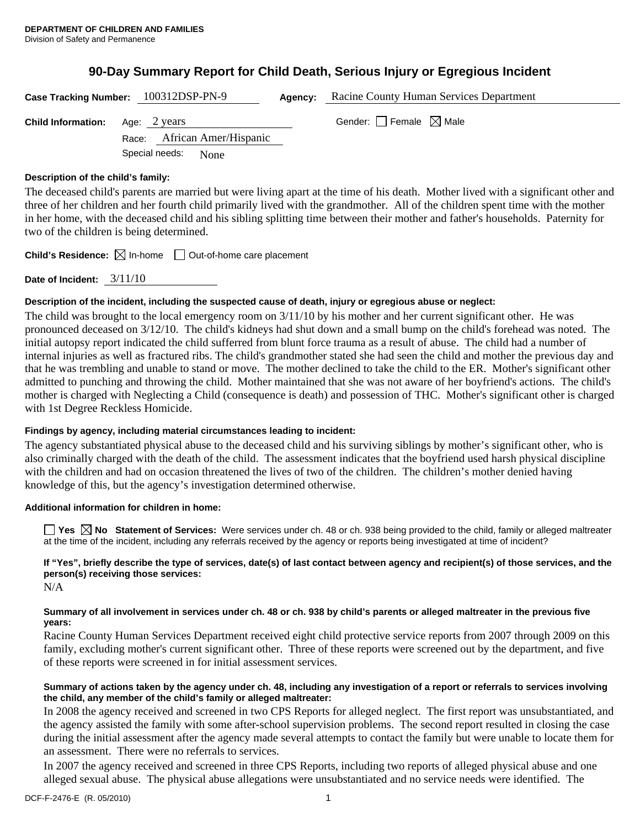# **90-Day Summary Report for Child Death, Serious Injury or Egregious Incident**

**Case Tracking Number:** 100312DSP-PN-9 **Agency:** Racine County Human Services Department

**Child Information:** Age: 2 years Gender: Female ⊠ Male Race: African Amer/Hispanic Special needs: None

#### **Description of the child's family:**

The deceased child's parents are married but were living apart at the time of his death. Mother lived with a significant other and three of her children and her fourth child primarily lived with the grandmother. All of the children spent time with the mother in her home, with the deceased child and his sibling splitting time between their mother and father's households. Paternity for two of the children is being determined.

**Child's Residence:**  $\boxtimes$  In-home  $\Box$  Out-of-home care placement

**Date of Incident:** 3/11/10

#### **Description of the incident, including the suspected cause of death, injury or egregious abuse or neglect:**

The child was brought to the local emergency room on 3/11/10 by his mother and her current significant other. He was pronounced deceased on 3/12/10. The child's kidneys had shut down and a small bump on the child's forehead was noted. The initial autopsy report indicated the child sufferred from blunt force trauma as a result of abuse. The child had a number of internal injuries as well as fractured ribs. The child's grandmother stated she had seen the child and mother the previous day and that he was trembling and unable to stand or move. The mother declined to take the child to the ER. Mother's significant other admitted to punching and throwing the child. Mother maintained that she was not aware of her boyfriend's actions. The child's mother is charged with Neglecting a Child (consequence is death) and possession of THC. Mother's significant other is charged with 1st Degree Reckless Homicide.

### **Findings by agency, including material circumstances leading to incident:**

The agency substantiated physical abuse to the deceased child and his surviving siblings by mother's significant other, who is also criminally charged with the death of the child. The assessment indicates that the boyfriend used harsh physical discipline with the children and had on occasion threatened the lives of two of the children. The children's mother denied having knowledge of this, but the agency's investigation determined otherwise.

#### **Additional information for children in home:**

■ Yes **No** Statement of Services: Were services under ch. 48 or ch. 938 being provided to the child, family or alleged maltreater at the time of the incident, including any referrals received by the agency or reports being investigated at time of incident?

## **If "Yes", briefly describe the type of services, date(s) of last contact between agency and recipient(s) of those services, and the person(s) receiving those services:**

N/A

#### **Summary of all involvement in services under ch. 48 or ch. 938 by child's parents or alleged maltreater in the previous five years:**

Racine County Human Services Department received eight child protective service reports from 2007 through 2009 on this family, excluding mother's current significant other. Three of these reports were screened out by the department, and five of these reports were screened in for initial assessment services.

#### **Summary of actions taken by the agency under ch. 48, including any investigation of a report or referrals to services involving the child, any member of the child's family or alleged maltreater:**

In 2008 the agency received and screened in two CPS Reports for alleged neglect. The first report was unsubstantiated, and the agency assisted the family with some after-school supervision problems. The second report resulted in closing the case during the initial assessment after the agency made several attempts to contact the family but were unable to locate them for an assessment. There were no referrals to services.

In 2007 the agency received and screened in three CPS Reports, including two reports of alleged physical abuse and one alleged sexual abuse. The physical abuse allegations were unsubstantiated and no service needs were identified. The